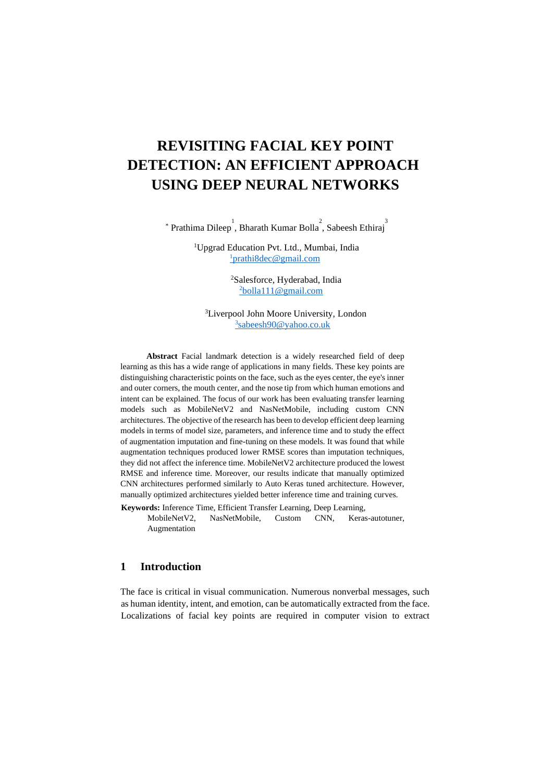# **REVISITING FACIAL KEY POINT DETECTION: AN EFFICIENT APPROACH USING DEEP NEURAL NETWORKS**

<sup>2</sup> Prathima Dileep, Bharath Kumar Bolla<sup>2</sup>, Sabeesh Ethiraj<sup>3</sup>

<sup>1</sup>Upgrad Education Pvt. Ltd., Mumbai, India <sup>1</sup>[prathi8dec@gmail.com](mailto:1mohan.kingam@gmail.com)

> <sup>2</sup>Salesforce, Hyderabad, India <sup>2</sup>[bolla111@gmail.com](mailto:2bolla111@gmail.com)

<sup>3</sup>Liverpool John Moore University, London 3 [sabeesh90@yahoo.co.uk](mailto:3sabeesh90@yahoo.co.uk)

**Abstract** Facial landmark detection is a widely researched field of deep learning as this has a wide range of applications in many fields. These key points are distinguishing characteristic points on the face, such as the eyes center, the eye's inner and outer corners, the mouth center, and the nose tip from which human emotions and intent can be explained. The focus of our work has been evaluating transfer learning models such as MobileNetV2 and NasNetMobile, including custom CNN architectures. The objective of the research has been to develop efficient deep learning models in terms of model size, parameters, and inference time and to study the effect of augmentation imputation and fine-tuning on these models. It was found that while augmentation techniques produced lower RMSE scores than imputation techniques, they did not affect the inference time. MobileNetV2 architecture produced the lowest RMSE and inference time. Moreover, our results indicate that manually optimized CNN architectures performed similarly to Auto Keras tuned architecture. However, manually optimized architectures yielded better inference time and training curves.

**Keywords:** Inference Time, Efficient Transfer Learning, Deep Learning,

MobileNetV2, NasNetMobile, Custom CNN, Keras-autotuner, Augmentation

# **1 Introduction**

The face is critical in visual communication. Numerous nonverbal messages, such as human identity, intent, and emotion, can be automatically extracted from the face. Localizations of facial key points are required in computer vision to extract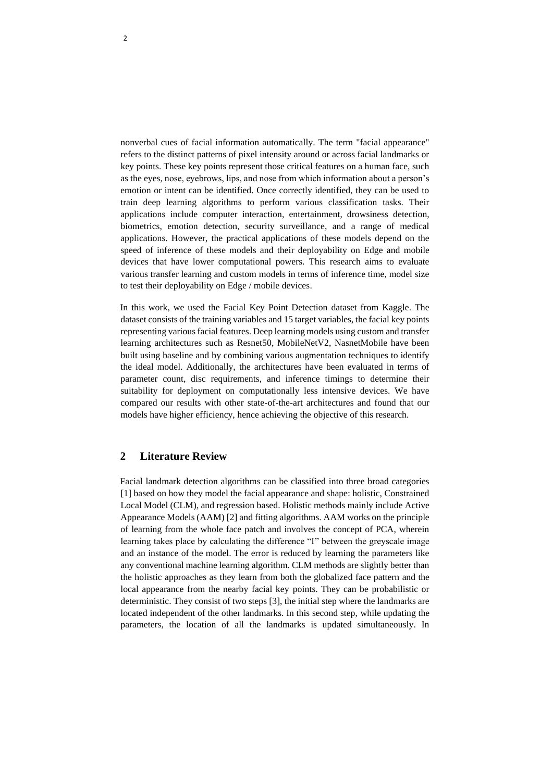nonverbal cues of facial information automatically. The term "facial appearance" refers to the distinct patterns of pixel intensity around or across facial landmarks or key points. These key points represent those critical features on a human face, such as the eyes, nose, eyebrows, lips, and nose from which information about a person's emotion or intent can be identified. Once correctly identified, they can be used to train deep learning algorithms to perform various classification tasks. Their applications include computer interaction, entertainment, drowsiness detection, biometrics, emotion detection, security surveillance, and a range of medical applications. However, the practical applications of these models depend on the speed of inference of these models and their deployability on Edge and mobile devices that have lower computational powers. This research aims to evaluate various transfer learning and custom models in terms of inference time, model size to test their deployability on Edge / mobile devices.

In this work, we used the Facial Key Point Detection dataset from Kaggle. The dataset consists of the training variables and 15 target variables, the facial key points representing various facial features. Deep learning models using custom and transfer learning architectures such as Resnet50, MobileNetV2, NasnetMobile have been built using baseline and by combining various augmentation techniques to identify the ideal model. Additionally, the architectures have been evaluated in terms of parameter count, disc requirements, and inference timings to determine their suitability for deployment on computationally less intensive devices. We have compared our results with other state-of-the-art architectures and found that our models have higher efficiency, hence achieving the objective of this research.

# **2 Literature Review**

Facial landmark detection algorithms can be classified into three broad categories [1] based on how they model the facial appearance and shape: holistic, Constrained Local Model (CLM), and regression based. Holistic methods mainly include Active Appearance Models (AAM) [2] and fitting algorithms. AAM works on the principle of learning from the whole face patch and involves the concept of PCA, wherein learning takes place by calculating the difference "I" between the greyscale image and an instance of the model. The error is reduced by learning the parameters like any conventional machine learning algorithm. CLM methods are slightly better than the holistic approaches as they learn from both the globalized face pattern and the local appearance from the nearby facial key points. They can be probabilistic or deterministic. They consist of two steps [3], the initial step where the landmarks are located independent of the other landmarks. In this second step, while updating the parameters, the location of all the landmarks is updated simultaneously. In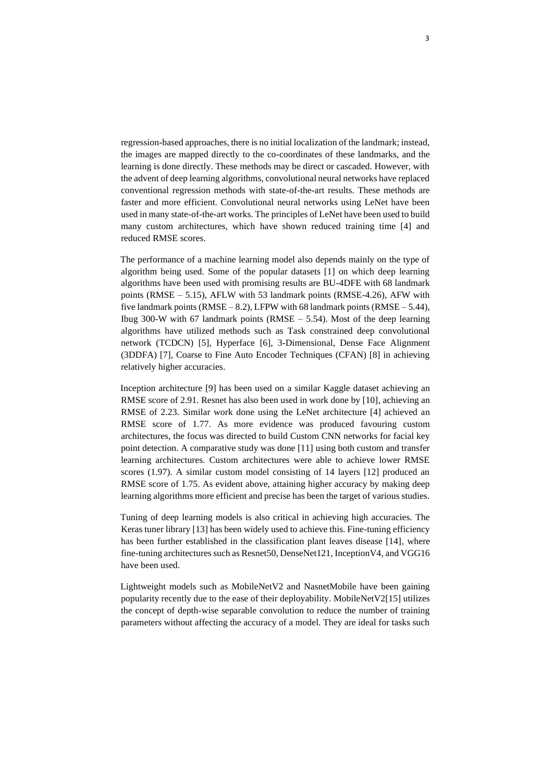regression-based approaches, there is no initial localization of the landmark; instead, the images are mapped directly to the co-coordinates of these landmarks, and the learning is done directly. These methods may be direct or cascaded. However, with the advent of deep learning algorithms, convolutional neural networks have replaced conventional regression methods with state-of-the-art results. These methods are faster and more efficient. Convolutional neural networks using LeNet have been used in many state-of-the-art works. The principles of LeNet have been used to build many custom architectures, which have shown reduced training time [4] and reduced RMSE scores.

The performance of a machine learning model also depends mainly on the type of algorithm being used. Some of the popular datasets [1] on which deep learning algorithms have been used with promising results are BU-4DFE with 68 landmark points (RMSE – 5.15), AFLW with 53 landmark points (RMSE-4.26), AFW with five landmark points (RMSE – 8.2), LFPW with 68 landmark points (RMSE – 5.44), Ibug 300-W with 67 landmark points (RMSE  $-$  5.54). Most of the deep learning algorithms have utilized methods such as Task constrained deep convolutional network (TCDCN) [5], Hyperface [6], 3-Dimensional, Dense Face Alignment (3DDFA) [7], Coarse to Fine Auto Encoder Techniques (CFAN) [8] in achieving relatively higher accuracies.

Inception architecture [9] has been used on a similar Kaggle dataset achieving an RMSE score of 2.91. Resnet has also been used in work done by [10], achieving an RMSE of 2.23. Similar work done using the LeNet architecture [4] achieved an RMSE score of 1.77. As more evidence was produced favouring custom architectures, the focus was directed to build Custom CNN networks for facial key point detection. A comparative study was done [11] using both custom and transfer learning architectures. Custom architectures were able to achieve lower RMSE scores (1.97). A similar custom model consisting of 14 layers [12] produced an RMSE score of 1.75. As evident above, attaining higher accuracy by making deep learning algorithms more efficient and precise has been the target of various studies.

Tuning of deep learning models is also critical in achieving high accuracies. The Keras tuner library [13] has been widely used to achieve this. Fine-tuning efficiency has been further established in the classification plant leaves disease [14], where fine-tuning architectures such as Resnet50, DenseNet121, InceptionV4, and VGG16 have been used.

Lightweight models such as MobileNetV2 and NasnetMobile have been gaining popularity recently due to the ease of their deployability. MobileNetV2[15] utilizes the concept of depth-wise separable convolution to reduce the number of training parameters without affecting the accuracy of a model. They are ideal for tasks such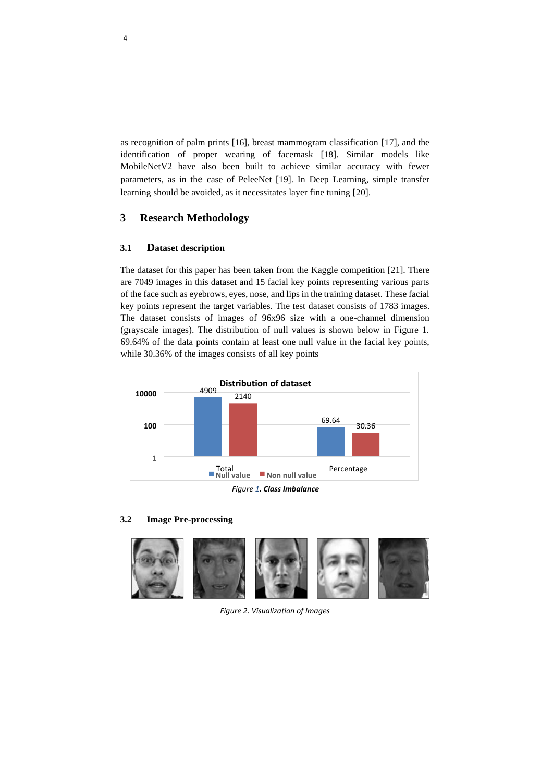as recognition of palm prints [16], breast mammogram classification [17], and the identification of proper wearing of facemask [18]. Similar models like MobileNetV2 have also been built to achieve similar accuracy with fewer parameters, as in the case of PeleeNet [19]. In Deep Learning, simple transfer learning should be avoided, as it necessitates layer fine tuning [20].

# **3 Research Methodology**

## **3.1 Dataset description**

The dataset for this paper has been taken from the Kaggle competition [21]. There are 7049 images in this dataset and 15 facial key points representing various parts of the face such as eyebrows, eyes, nose, and lips in the training dataset. These facial key points represent the target variables. The test dataset consists of 1783 images. The dataset consists of images of 96x96 size with a one-channel dimension (grayscale images). The distribution of null values is shown below in Figure 1. 69.64% of the data points contain at least one null value in the facial key points, while 30.36% of the images consists of all key points



#### **3.2 Image Pre-processing**



*Figure 2. Visualization of Images*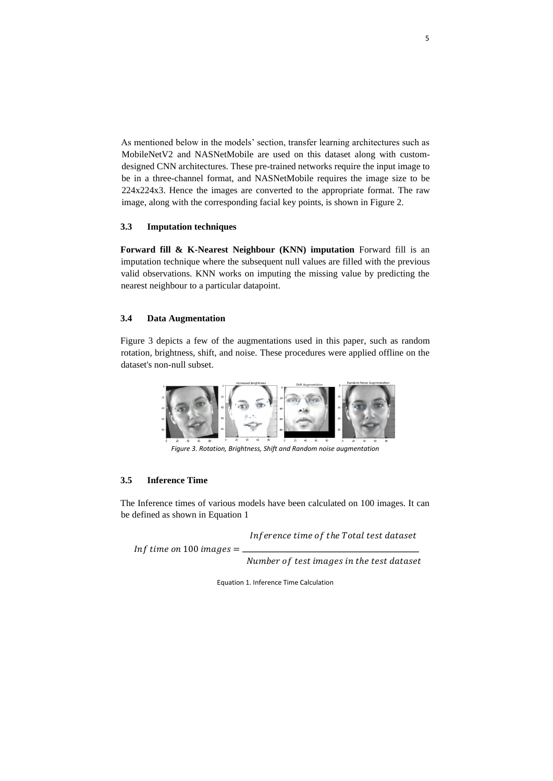As mentioned below in the models' section, transfer learning architectures such as MobileNetV2 and NASNetMobile are used on this dataset along with customdesigned CNN architectures. These pre-trained networks require the input image to be in a three-channel format, and NASNetMobile requires the image size to be 224x224x3. Hence the images are converted to the appropriate format. The raw image, along with the corresponding facial key points, is shown in Figure 2.

#### **3.3 Imputation techniques**

**Forward fill & K-Nearest Neighbour (KNN) imputation** Forward fill is an imputation technique where the subsequent null values are filled with the previous valid observations. KNN works on imputing the missing value by predicting the nearest neighbour to a particular datapoint.

#### **3.4 Data Augmentation**

Figure 3 depicts a few of the augmentations used in this paper, such as random rotation, brightness, shift, and noise. These procedures were applied offline on the dataset's non-null subset.



*Figure 3. Rotation, Brightness, Shift and Random noise augmentation*

#### **3.5 Inference Time**

The Inference times of various models have been calculated on 100 images. It can be defined as shown in Equation 1

Inference time of the Total test dataset

Inf time on 100 images  $=$ 

Number of test images in the test dataset

Equation 1. Inference Time Calculation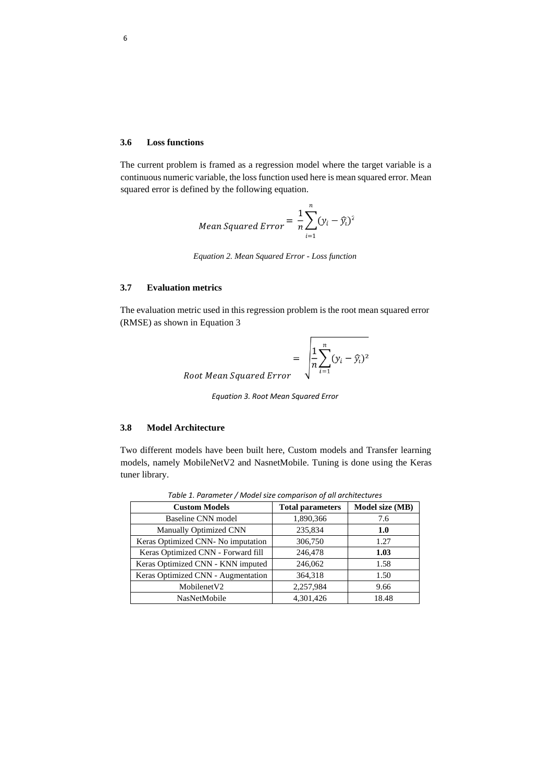#### **3.6 Loss functions**

The current problem is framed as a regression model where the target variable is a continuous numeric variable, the loss function used here is mean squared error. Mean squared error is defined by the following equation.

Mean Squared Error 
$$
=
$$
  $\frac{1}{n} \sum_{i=1}^{n} (y_i - \widehat{y}_i)^2$ 

*Equation 2. Mean Squared Error - Loss function* 

## **3.7 Evaluation metrics**

The evaluation metric used in this regression problem is the root mean squared error (RMSE) as shown in Equation 3

$$
= \sqrt{\frac{1}{n} \sum_{i=1}^{n} (y_i - \hat{y}_i)^2}
$$
  
Root Mean Squared Error

*Equation 3. Root Mean Squared Error*

#### **3.8 Model Architecture**

Two different models have been built here, Custom models and Transfer learning models, namely MobileNetV2 and NasnetMobile. Tuning is done using the Keras tuner library.

| <b>Custom Models</b>               | <b>Total parameters</b> | Model size (MB) |
|------------------------------------|-------------------------|-----------------|
| <b>Baseline CNN</b> model          | 1,890,366               | 7.6             |
| Manually Optimized CNN             | 235,834                 | 1.0             |
| Keras Optimized CNN- No imputation | 306,750                 | 1.27            |
| Keras Optimized CNN - Forward fill | 246,478                 | 1.03            |
| Keras Optimized CNN - KNN imputed  | 246,062                 | 1.58            |
| Keras Optimized CNN - Augmentation | 364,318                 | 1.50            |
| MobilenetV2                        | 2,257,984               | 9.66            |
| <b>NasNetMobile</b>                | 4.301.426               | 18.48           |

*Table 1. Parameter / Model size comparison of all architectures*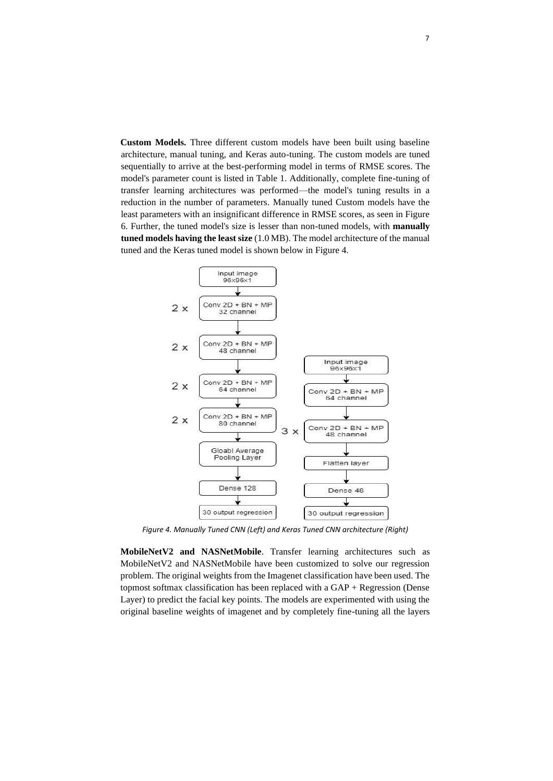**Custom Models.** Three different custom models have been built using baseline architecture, manual tuning, and Keras auto-tuning. The custom models are tuned sequentially to arrive at the best-performing model in terms of RMSE scores. The model's parameter count is listed in Table 1. Additionally, complete fine-tuning of transfer learning architectures was performed—the model's tuning results in a reduction in the number of parameters. Manually tuned Custom models have the least parameters with an insignificant difference in RMSE scores, as seen in Figure 6. Further, the tuned model's size is lesser than non-tuned models, with **manually tuned models having the least size** (1.0 MB). The model architecture of the manual tuned and the Keras tuned model is shown below in Figure 4.



*Figure 4. Manually Tuned CNN (Left) and Keras Tuned CNN architecture (Right)*

**MobileNetV2 and NASNetMobile**. Transfer learning architectures such as MobileNetV2 and NASNetMobile have been customized to solve our regression problem. The original weights from the Imagenet classification have been used. The topmost softmax classification has been replaced with a GAP + Regression (Dense Layer) to predict the facial key points. The models are experimented with using the original baseline weights of imagenet and by completely fine-tuning all the layers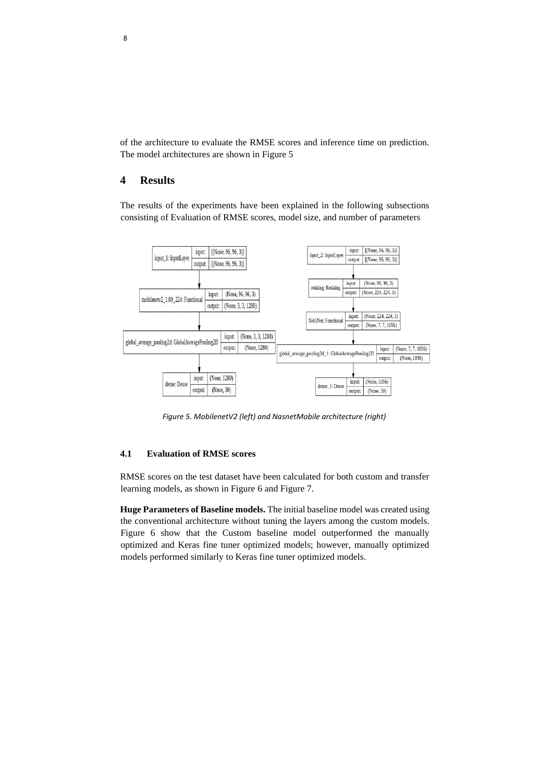of the architecture to evaluate the RMSE scores and inference time on prediction. The model architectures are shown in Figure 5

# **4 Results**

The results of the experiments have been explained in the following subsections consisting of Evaluation of RMSE scores, model size, and number of parameters



*Figure 5. MobilenetV2 (left) and NasnetMobile architecture (right)* 

#### **4.1 Evaluation of RMSE scores**

RMSE scores on the test dataset have been calculated for both custom and transfer learning models, as shown in Figure 6 and Figure 7.

**Huge Parameters of Baseline models.** The initial baseline model was created using the conventional architecture without tuning the layers among the custom models. Figure 6 show that the Custom baseline model outperformed the manually optimized and Keras fine tuner optimized models; however, manually optimized models performed similarly to Keras fine tuner optimized models.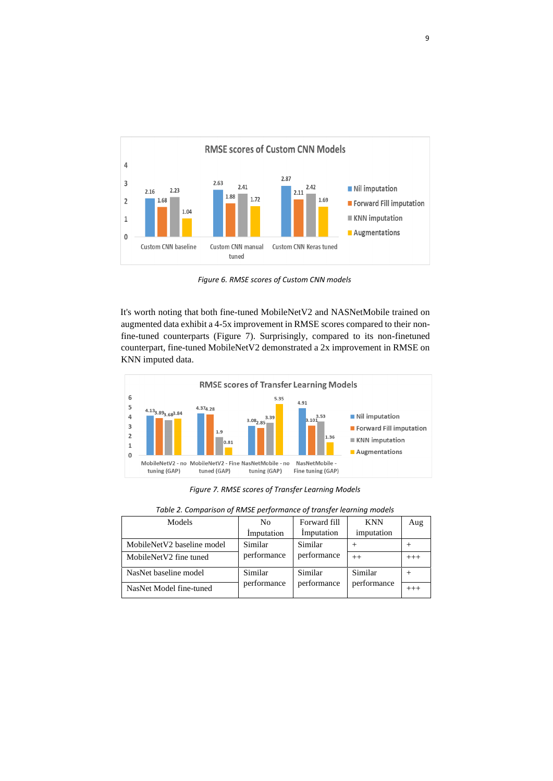

*Figure 6. RMSE scores of Custom CNN models* 

It's worth noting that both fine-tuned MobileNetV2 and NASNetMobile trained on augmented data exhibit a 4-5x improvement in RMSE scores compared to their nonfine-tuned counterparts (Figure 7). Surprisingly, compared to its non-finetuned counterpart, fine-tuned MobileNetV2 demonstrated a 2x improvement in RMSE on KNN imputed data.



*Figure 7. RMSE scores of Transfer Learning Models* 

| Models                     | N <sub>0</sub> | Forward fill | <b>KNN</b>  | Aug      |
|----------------------------|----------------|--------------|-------------|----------|
|                            | Imputation     | Imputation   | imputation  |          |
| MobileNetV2 baseline model | Similar        | Similar      |             |          |
| MobileNetV2 fine tuned     | performance    | performance  | $^{++}$     | $^{+++}$ |
| NasNet baseline model      | Similar        | Similar      | Similar     |          |
| NasNet Model fine-tuned    | performance    | performance  | performance | $+++$    |

*Table 2. Comparison of RMSE performance of transfer learning models*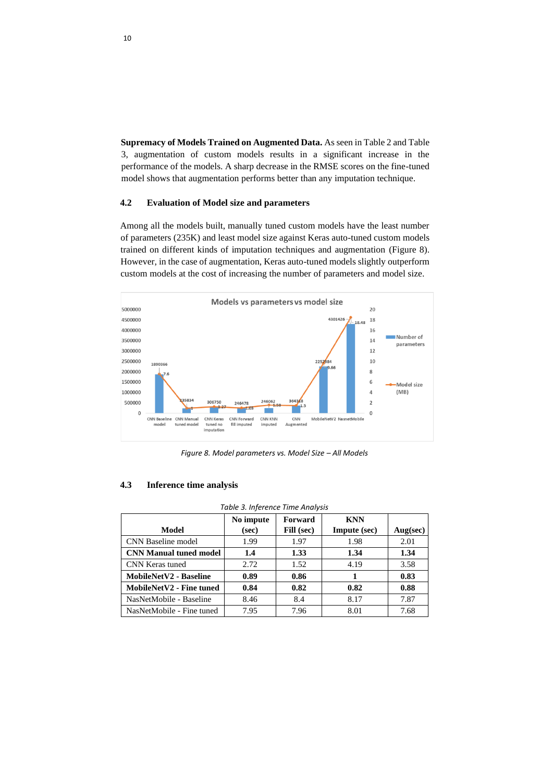**Supremacy of Models Trained on Augmented Data.** As seen in Table 2 and Table 3, augmentation of custom models results in a significant increase in the performance of the models. A sharp decrease in the RMSE scores on the fine-tuned model shows that augmentation performs better than any imputation technique.

#### **4.2 Evaluation of Model size and parameters**

Among all the models built, manually tuned custom models have the least number of parameters (235K) and least model size against Keras auto-tuned custom models trained on different kinds of imputation techniques and augmentation (Figure 8). However, in the case of augmentation, Keras auto-tuned models slightly outperform custom models at the cost of increasing the number of parameters and model size.



*Figure 8. Model parameters vs. Model Size – All Models* 

| Table 3. Inference Time Analysis |                    |                       |                            |          |  |  |
|----------------------------------|--------------------|-----------------------|----------------------------|----------|--|--|
| Model                            | No impute<br>(sec) | Forward<br>Fill (sec) | <b>KNN</b><br>Impute (sec) | Aug(sec) |  |  |
| <b>CNN Baseline model</b>        | 1.99               | 1.97                  | 1.98                       | 2.01     |  |  |
| <b>CNN Manual tuned model</b>    | 1.4                | 1.33                  | 1.34                       | 1.34     |  |  |
| CNN Keras tuned                  | 2.72               | 1.52                  | 4.19                       | 3.58     |  |  |
| <b>MobileNetV2 - Baseline</b>    | 0.89               | 0.86                  |                            | 0.83     |  |  |
| MobileNetV2 - Fine tuned         | 0.84               | 0.82                  | 0.82                       | 0.88     |  |  |
| NasNetMobile - Baseline          | 8.46               | 8.4                   | 8.17                       | 7.87     |  |  |
| NasNetMobile - Fine tuned        | 7.95               | 7.96                  | 8.01                       | 7.68     |  |  |

#### **4.3 Inference time analysis**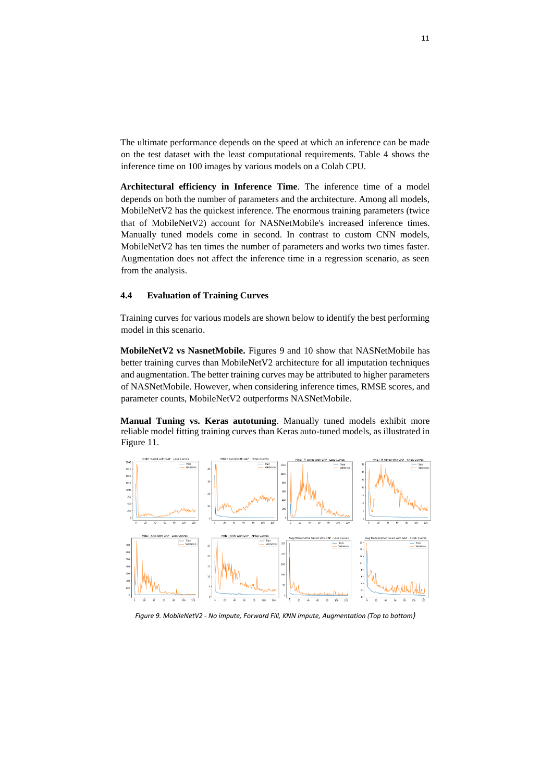The ultimate performance depends on the speed at which an inference can be made on the test dataset with the least computational requirements. Table 4 shows the inference time on 100 images by various models on a Colab CPU.

**Architectural efficiency in Inference Time**. The inference time of a model depends on both the number of parameters and the architecture. Among all models, MobileNetV2 has the quickest inference. The enormous training parameters (twice that of MobileNetV2) account for NASNetMobile's increased inference times. Manually tuned models come in second. In contrast to custom CNN models, MobileNetV2 has ten times the number of parameters and works two times faster. Augmentation does not affect the inference time in a regression scenario, as seen from the analysis.

## **4.4 Evaluation of Training Curves**

Training curves for various models are shown below to identify the best performing model in this scenario.

**MobileNetV2 vs NasnetMobile.** Figures 9 and 10 show that NASNetMobile has better training curves than MobileNetV2 architecture for all imputation techniques and augmentation. The better training curves may be attributed to higher parameters of NASNetMobile. However, when considering inference times, RMSE scores, and parameter counts, MobileNetV2 outperforms NASNetMobile.

**Manual Tuning vs. Keras autotuning**. Manually tuned models exhibit more reliable model fitting training curves than Keras auto-tuned models, as illustrated in Figure 11.



*Figure 9. MobileNetV2 - No impute, Forward Fill, KNN impute, Augmentation (Top to bottom)*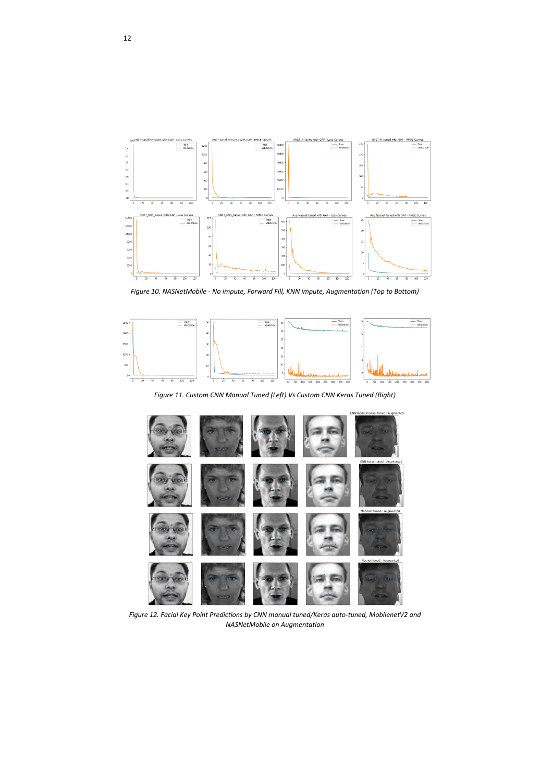

*Figure 10. NASNetMobile - No impute, Forward Fill, KNN impute, Augmentation (Top to Bottom)* 



*Figure 11. Custom CNN Manual Tuned (Left) Vs Custom CNN Keras Tuned (Right)* 



*Figure 12. Facial Key Point Predictions by CNN manual tuned/Keras auto-tuned, MobilenetV2 and NASNetMobile on Augmentation*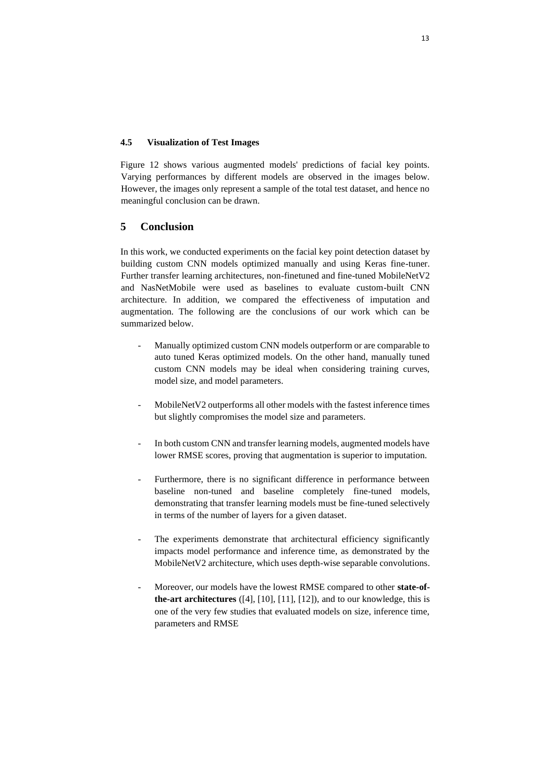## **4.5 Visualization of Test Images**

Figure 12 shows various augmented models' predictions of facial key points. Varying performances by different models are observed in the images below. However, the images only represent a sample of the total test dataset, and hence no meaningful conclusion can be drawn.

# **5 Conclusion**

In this work, we conducted experiments on the facial key point detection dataset by building custom CNN models optimized manually and using Keras fine-tuner. Further transfer learning architectures, non-finetuned and fine-tuned MobileNetV2 and NasNetMobile were used as baselines to evaluate custom-built CNN architecture. In addition, we compared the effectiveness of imputation and augmentation. The following are the conclusions of our work which can be summarized below.

- Manually optimized custom CNN models outperform or are comparable to auto tuned Keras optimized models. On the other hand, manually tuned custom CNN models may be ideal when considering training curves, model size, and model parameters.
- MobileNetV2 outperforms all other models with the fastest inference times but slightly compromises the model size and parameters.
- In both custom CNN and transfer learning models, augmented models have lower RMSE scores, proving that augmentation is superior to imputation.
- Furthermore, there is no significant difference in performance between baseline non-tuned and baseline completely fine-tuned models, demonstrating that transfer learning models must be fine-tuned selectively in terms of the number of layers for a given dataset.
- The experiments demonstrate that architectural efficiency significantly impacts model performance and inference time, as demonstrated by the MobileNetV2 architecture, which uses depth-wise separable convolutions.
- Moreover, our models have the lowest RMSE compared to other **state-ofthe-art architectures**  $([4], [10], [11], [12]$ ), and to our knowledge, this is one of the very few studies that evaluated models on size, inference time, parameters and RMSE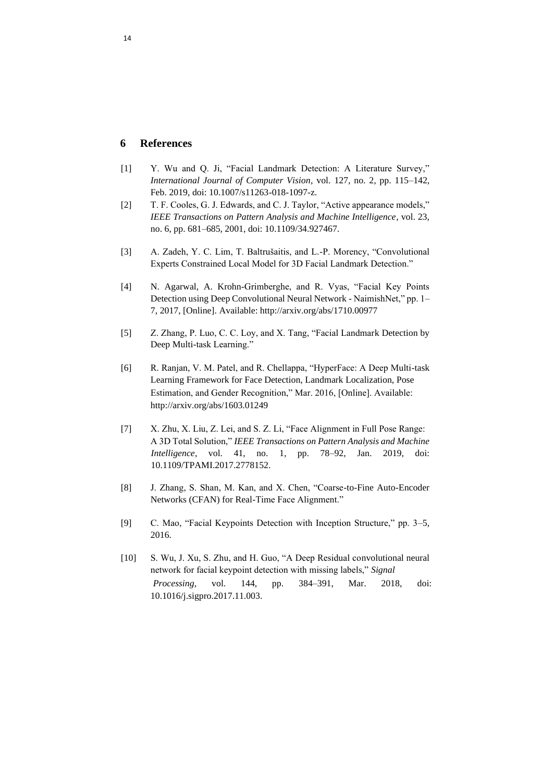## **6 References**

- [1] Y. Wu and Q. Ji, "Facial Landmark Detection: A Literature Survey," *International Journal of Computer Vision*, vol. 127, no. 2, pp. 115–142, Feb. 2019, doi: 10.1007/s11263-018-1097-z.
- [2] T. F. Cooles, G. J. Edwards, and C. J. Taylor, "Active appearance models," *IEEE Transactions on Pattern Analysis and Machine Intelligence*, vol. 23, no. 6, pp. 681–685, 2001, doi: 10.1109/34.927467.
- [3] A. Zadeh, Y. C. Lim, T. Baltrušaitis, and L.-P. Morency, "Convolutional Experts Constrained Local Model for 3D Facial Landmark Detection."
- [4] N. Agarwal, A. Krohn-Grimberghe, and R. Vyas, "Facial Key Points Detection using Deep Convolutional Neural Network - NaimishNet," pp. 1– 7, 2017, [Online]. Available: http://arxiv.org/abs/1710.00977
- [5] Z. Zhang, P. Luo, C. C. Loy, and X. Tang, "Facial Landmark Detection by Deep Multi-task Learning."
- [6] R. Ranjan, V. M. Patel, and R. Chellappa, "HyperFace: A Deep Multi-task Learning Framework for Face Detection, Landmark Localization, Pose Estimation, and Gender Recognition," Mar. 2016, [Online]. Available: http://arxiv.org/abs/1603.01249
- [7] X. Zhu, X. Liu, Z. Lei, and S. Z. Li, "Face Alignment in Full Pose Range: A 3D Total Solution," *IEEE Transactions on Pattern Analysis and Machine Intelligence*, vol. 41, no. 1, pp. 78–92, Jan. 2019, doi: 10.1109/TPAMI.2017.2778152.
- [8] J. Zhang, S. Shan, M. Kan, and X. Chen, "Coarse-to-Fine Auto-Encoder Networks (CFAN) for Real-Time Face Alignment."
- [9] C. Mao, "Facial Keypoints Detection with Inception Structure," pp. 3–5, 2016.
- [10] S. Wu, J. Xu, S. Zhu, and H. Guo, "A Deep Residual convolutional neural network for facial keypoint detection with missing labels," *Signal Processing*, vol. 144, pp. 384–391, Mar. 2018, doi: 10.1016/j.sigpro.2017.11.003.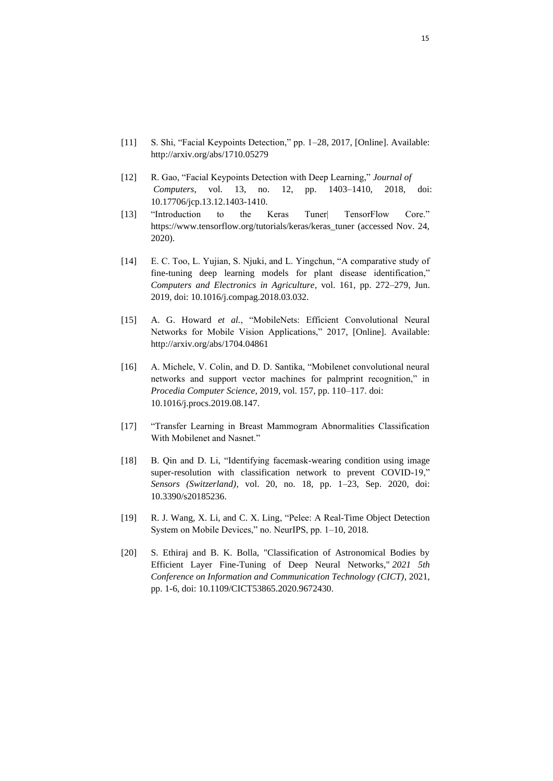- [11] S. Shi, "Facial Keypoints Detection," pp. 1–28, 2017, [Online]. Available: http://arxiv.org/abs/1710.05279
- [12] R. Gao, "Facial Keypoints Detection with Deep Learning," *Journal of Computers*, vol. 13, no. 12, pp. 1403–1410, 2018, doi: 10.17706/jcp.13.12.1403-1410.
- [13] "Introduction to the Keras Tuner| TensorFlow Core." https://www.tensorflow.org/tutorials/keras/keras\_tuner (accessed Nov. 24, 2020).
- [14] E. C. Too, L. Yujian, S. Njuki, and L. Yingchun, "A comparative study of fine-tuning deep learning models for plant disease identification," *Computers and Electronics in Agriculture*, vol. 161, pp. 272–279, Jun. 2019, doi: 10.1016/j.compag.2018.03.032.
- [15] A. G. Howard *et al.*, "MobileNets: Efficient Convolutional Neural Networks for Mobile Vision Applications," 2017, [Online]. Available: http://arxiv.org/abs/1704.04861
- [16] A. Michele, V. Colin, and D. D. Santika, "Mobilenet convolutional neural networks and support vector machines for palmprint recognition," in *Procedia Computer Science*, 2019, vol. 157, pp. 110–117. doi: 10.1016/j.procs.2019.08.147.
- [17] "Transfer Learning in Breast Mammogram Abnormalities Classification With Mobilenet and Nasnet."
- [18] B. Qin and D. Li, "Identifying facemask-wearing condition using image super-resolution with classification network to prevent COVID-19," *Sensors (Switzerland)*, vol. 20, no. 18, pp. 1–23, Sep. 2020, doi: 10.3390/s20185236.
- [19] R. J. Wang, X. Li, and C. X. Ling, "Pelee: A Real-Time Object Detection System on Mobile Devices," no. NeurIPS, pp. 1–10, 2018.
- [20] S. Ethiraj and B. K. Bolla, "Classification of Astronomical Bodies by Efficient Layer Fine-Tuning of Deep Neural Networks," *2021 5th Conference on Information and Communication Technology (CICT)*, 2021, pp. 1-6, doi: 10.1109/CICT53865.2020.9672430.